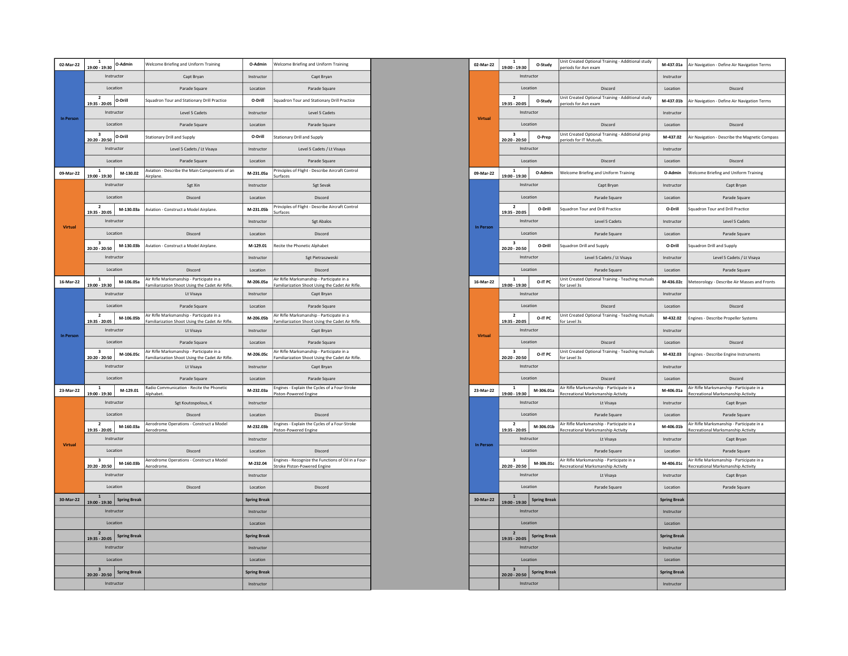| Instructor<br>Capt Bryan<br>Capt Brvan<br>Instructor<br>Location<br>Parade Square<br>Parade Square<br>Location<br>$\overline{2}$<br>O-Drill<br>Squadron Tour and Stationary Drill Practice<br>O-Drill<br>Squadron Tour and Stationary Drill Practice<br>19:35 - 20:05<br>Instructor<br>Level 5 Cadets<br>Instructor<br>Level 5 Cadets<br><b>Virtual</b><br>In Person<br>Location<br>Parade Square<br>Location<br>Parade Square<br>3<br>Stationary Drill and Supply<br>O-Drill<br><b>Stationary Drill and Supply</b><br>O-Drill<br>20:20 - 20:50<br>Instructor<br>Level 5 Cadets / Lt Visaya<br>Instructor<br>Level 5 Cadets / Lt Visaya<br>Location<br>Parade Square<br>Location<br>Parade Square<br>Aviation - Describe the Main Components of an<br>$\mathbf{1}$<br>Principles of Flight - Describe Aircraft Control<br>09-Mar-22<br>M-130.02<br>M-231.05a<br>09-Mar-22<br>19:00 - 19:30<br>Airplane<br>Surfaces<br>Instructor<br>Sgt Xin<br>Instructor<br>Sgt Sevak<br>Location<br>Location<br>Discord<br>Discord<br>Principles of Flight - Describe Aircraft Control<br>$\overline{2}$<br>M-130.03a<br>Aviation - Construct a Model Airplane.<br>M-231.05b<br>19:35 - 20:05<br>Surfaces<br>Instructor<br>Instructor<br><b>Sgt Abalos</b><br><b>Virtual</b><br>In Person<br>Location<br>Discord<br>Location<br>Discord<br>3<br>M-130.03b<br>Aviation - Construct a Model Airplane.<br>M-129.01<br>Recite the Phonetic Alphabet<br>20:20 - 20:50<br>Instructor<br>Sgt Pietraszweski<br>Instructor<br>Location<br>Discord<br>Location<br>Discord<br>$\overline{1}$<br>Air Rifle Marksmanship - Participate in a<br>Air Rifle Marksmanship - Participate in a<br>16-Mar-22<br>M-106.05a<br>M-206.05a<br>16-Mar-22<br>19:00 - 19:30<br>Familiarization Shoot Using the Cadet Air Rifle<br>Familiarization Shoot Using the Cadet Air Rifle.<br>Instructor<br>Lt Visaya<br>Instructor<br>Capt Bryan<br>Location<br>Parade Square<br>Location<br>Parade Square<br>$\overline{2}$<br>Air Rifle Marksmanship - Participate in a<br>Air Rifle Marksmanship - Participate in a<br>M-106.05b<br>M-206.05b<br>19:35 - 20:05<br>Familiarization Shoot Using the Cadet Air Rifle<br>Familiarization Shoot Using the Cadet Air Rifle.<br>Instructor<br>Lt Visaya<br>Instructor<br>Capt Bryan<br><b>In Person</b><br><b>Virtual</b><br>Location<br>Parade Square<br>Location<br>Parade Square<br>3<br>Air Rifle Marksmanship - Participate in a<br>Air Rifle Marksmanship - Participate in a<br>M-106.05c<br>M-206.05c<br>20:20 - 20:50<br>Familiarization Shoot Using the Cadet Air Rifle<br>Familiarization Shoot Using the Cadet Air Rifle.<br>Instructor<br>Lt Visaya<br>Instructor<br>Capt Bryan<br>Location<br>Parade Square<br>Location<br>Parade Square<br>Radio Communication - Recite the Phonetic<br>Engines - Explain the Cycles of a Four-Stroke<br>$\mathbf{1}$<br>M-129.01<br>23-Mar-22<br>M-232.03a<br>23-Mar-22<br>19:00 - 19:30<br>Piston-Powered Engine<br>Alphabet<br>Instructor<br>Sgt Koutospolous, K<br>Instructor<br>Location<br>Discord<br>Location<br>Discord<br>$\overline{2}$<br>Aerodrome Operations - Construct a Model<br>Engines - Explain the Cycles of a Four-Stroke<br>M-160.03a<br>M-232.03b<br>19:35 - 20:05<br>Piston-Powered Engine<br>Aerodrome<br>Instructor<br>Instructor<br>Virtual<br><b>In Person</b><br>Location<br>Discord<br>Location<br>Discord<br>Engines - Recognize the Functions of Oil in a Four-<br>$\overline{\mathbf{3}}$<br>Aerodrome Operations - Construct a Model<br>M-160.03b<br>M-232.04<br>20:20 - 20:50<br>Stroke Piston-Powered Engine<br>Aerodrome<br>Instructor<br>Instructor<br>Location<br>Discord<br>Location<br>Discord<br>$\mathbf{1}$<br>30-Mar-22<br>30-Mar-22<br><b>Spring Break</b><br><b>Spring Break</b><br>19:00 - 19:30<br>Instructor<br>Instructor<br>Location<br>Location<br>$\overline{\mathbf{2}}$<br><b>Spring Break</b><br><b>Spring Break</b><br>19:35 - 20:05<br>Instructor<br>Instructor<br>Location<br>Location<br>3<br><b>Spring Break</b><br><b>Spring Break</b><br>20:20 - 20:50<br>Instructor<br>Instructor | 02-Mar-22 | $\mathbf{1}$<br>19:00 - 19:30 | O-Admin | Welcome Briefing and Uniform Training | O-Admin | Welcome Briefing and Uniform Training | 02-Mar-22 |
|----------------------------------------------------------------------------------------------------------------------------------------------------------------------------------------------------------------------------------------------------------------------------------------------------------------------------------------------------------------------------------------------------------------------------------------------------------------------------------------------------------------------------------------------------------------------------------------------------------------------------------------------------------------------------------------------------------------------------------------------------------------------------------------------------------------------------------------------------------------------------------------------------------------------------------------------------------------------------------------------------------------------------------------------------------------------------------------------------------------------------------------------------------------------------------------------------------------------------------------------------------------------------------------------------------------------------------------------------------------------------------------------------------------------------------------------------------------------------------------------------------------------------------------------------------------------------------------------------------------------------------------------------------------------------------------------------------------------------------------------------------------------------------------------------------------------------------------------------------------------------------------------------------------------------------------------------------------------------------------------------------------------------------------------------------------------------------------------------------------------------------------------------------------------------------------------------------------------------------------------------------------------------------------------------------------------------------------------------------------------------------------------------------------------------------------------------------------------------------------------------------------------------------------------------------------------------------------------------------------------------------------------------------------------------------------------------------------------------------------------------------------------------------------------------------------------------------------------------------------------------------------------------------------------------------------------------------------------------------------------------------------------------------------------------------------------------------------------------------------------------------------------------------------------------------------------------------------------------------------------------------------------------------------------------------------------------------------------------------------------------------------------------------------------------------------------------------------------------------------------------------------------------------------------------------------------------------------------------------------------------------------------------------------------------------------------------------------------------------------------------------------------------------------------------------------------------------------------------------------------------------------------------------------------------------------------------------------------------------------------------------------------------------------------------------------------------------------------|-----------|-------------------------------|---------|---------------------------------------|---------|---------------------------------------|-----------|
|                                                                                                                                                                                                                                                                                                                                                                                                                                                                                                                                                                                                                                                                                                                                                                                                                                                                                                                                                                                                                                                                                                                                                                                                                                                                                                                                                                                                                                                                                                                                                                                                                                                                                                                                                                                                                                                                                                                                                                                                                                                                                                                                                                                                                                                                                                                                                                                                                                                                                                                                                                                                                                                                                                                                                                                                                                                                                                                                                                                                                                                                                                                                                                                                                                                                                                                                                                                                                                                                                                                                                                                                                                                                                                                                                                                                                                                                                                                                                                                                                                                                                              |           |                               |         |                                       |         |                                       |           |
|                                                                                                                                                                                                                                                                                                                                                                                                                                                                                                                                                                                                                                                                                                                                                                                                                                                                                                                                                                                                                                                                                                                                                                                                                                                                                                                                                                                                                                                                                                                                                                                                                                                                                                                                                                                                                                                                                                                                                                                                                                                                                                                                                                                                                                                                                                                                                                                                                                                                                                                                                                                                                                                                                                                                                                                                                                                                                                                                                                                                                                                                                                                                                                                                                                                                                                                                                                                                                                                                                                                                                                                                                                                                                                                                                                                                                                                                                                                                                                                                                                                                                              |           |                               |         |                                       |         |                                       |           |
|                                                                                                                                                                                                                                                                                                                                                                                                                                                                                                                                                                                                                                                                                                                                                                                                                                                                                                                                                                                                                                                                                                                                                                                                                                                                                                                                                                                                                                                                                                                                                                                                                                                                                                                                                                                                                                                                                                                                                                                                                                                                                                                                                                                                                                                                                                                                                                                                                                                                                                                                                                                                                                                                                                                                                                                                                                                                                                                                                                                                                                                                                                                                                                                                                                                                                                                                                                                                                                                                                                                                                                                                                                                                                                                                                                                                                                                                                                                                                                                                                                                                                              |           |                               |         |                                       |         |                                       |           |
|                                                                                                                                                                                                                                                                                                                                                                                                                                                                                                                                                                                                                                                                                                                                                                                                                                                                                                                                                                                                                                                                                                                                                                                                                                                                                                                                                                                                                                                                                                                                                                                                                                                                                                                                                                                                                                                                                                                                                                                                                                                                                                                                                                                                                                                                                                                                                                                                                                                                                                                                                                                                                                                                                                                                                                                                                                                                                                                                                                                                                                                                                                                                                                                                                                                                                                                                                                                                                                                                                                                                                                                                                                                                                                                                                                                                                                                                                                                                                                                                                                                                                              |           |                               |         |                                       |         |                                       |           |
|                                                                                                                                                                                                                                                                                                                                                                                                                                                                                                                                                                                                                                                                                                                                                                                                                                                                                                                                                                                                                                                                                                                                                                                                                                                                                                                                                                                                                                                                                                                                                                                                                                                                                                                                                                                                                                                                                                                                                                                                                                                                                                                                                                                                                                                                                                                                                                                                                                                                                                                                                                                                                                                                                                                                                                                                                                                                                                                                                                                                                                                                                                                                                                                                                                                                                                                                                                                                                                                                                                                                                                                                                                                                                                                                                                                                                                                                                                                                                                                                                                                                                              |           |                               |         |                                       |         |                                       |           |
|                                                                                                                                                                                                                                                                                                                                                                                                                                                                                                                                                                                                                                                                                                                                                                                                                                                                                                                                                                                                                                                                                                                                                                                                                                                                                                                                                                                                                                                                                                                                                                                                                                                                                                                                                                                                                                                                                                                                                                                                                                                                                                                                                                                                                                                                                                                                                                                                                                                                                                                                                                                                                                                                                                                                                                                                                                                                                                                                                                                                                                                                                                                                                                                                                                                                                                                                                                                                                                                                                                                                                                                                                                                                                                                                                                                                                                                                                                                                                                                                                                                                                              |           |                               |         |                                       |         |                                       |           |
|                                                                                                                                                                                                                                                                                                                                                                                                                                                                                                                                                                                                                                                                                                                                                                                                                                                                                                                                                                                                                                                                                                                                                                                                                                                                                                                                                                                                                                                                                                                                                                                                                                                                                                                                                                                                                                                                                                                                                                                                                                                                                                                                                                                                                                                                                                                                                                                                                                                                                                                                                                                                                                                                                                                                                                                                                                                                                                                                                                                                                                                                                                                                                                                                                                                                                                                                                                                                                                                                                                                                                                                                                                                                                                                                                                                                                                                                                                                                                                                                                                                                                              |           |                               |         |                                       |         |                                       |           |
|                                                                                                                                                                                                                                                                                                                                                                                                                                                                                                                                                                                                                                                                                                                                                                                                                                                                                                                                                                                                                                                                                                                                                                                                                                                                                                                                                                                                                                                                                                                                                                                                                                                                                                                                                                                                                                                                                                                                                                                                                                                                                                                                                                                                                                                                                                                                                                                                                                                                                                                                                                                                                                                                                                                                                                                                                                                                                                                                                                                                                                                                                                                                                                                                                                                                                                                                                                                                                                                                                                                                                                                                                                                                                                                                                                                                                                                                                                                                                                                                                                                                                              |           |                               |         |                                       |         |                                       |           |
|                                                                                                                                                                                                                                                                                                                                                                                                                                                                                                                                                                                                                                                                                                                                                                                                                                                                                                                                                                                                                                                                                                                                                                                                                                                                                                                                                                                                                                                                                                                                                                                                                                                                                                                                                                                                                                                                                                                                                                                                                                                                                                                                                                                                                                                                                                                                                                                                                                                                                                                                                                                                                                                                                                                                                                                                                                                                                                                                                                                                                                                                                                                                                                                                                                                                                                                                                                                                                                                                                                                                                                                                                                                                                                                                                                                                                                                                                                                                                                                                                                                                                              |           |                               |         |                                       |         |                                       |           |
|                                                                                                                                                                                                                                                                                                                                                                                                                                                                                                                                                                                                                                                                                                                                                                                                                                                                                                                                                                                                                                                                                                                                                                                                                                                                                                                                                                                                                                                                                                                                                                                                                                                                                                                                                                                                                                                                                                                                                                                                                                                                                                                                                                                                                                                                                                                                                                                                                                                                                                                                                                                                                                                                                                                                                                                                                                                                                                                                                                                                                                                                                                                                                                                                                                                                                                                                                                                                                                                                                                                                                                                                                                                                                                                                                                                                                                                                                                                                                                                                                                                                                              |           |                               |         |                                       |         |                                       |           |
|                                                                                                                                                                                                                                                                                                                                                                                                                                                                                                                                                                                                                                                                                                                                                                                                                                                                                                                                                                                                                                                                                                                                                                                                                                                                                                                                                                                                                                                                                                                                                                                                                                                                                                                                                                                                                                                                                                                                                                                                                                                                                                                                                                                                                                                                                                                                                                                                                                                                                                                                                                                                                                                                                                                                                                                                                                                                                                                                                                                                                                                                                                                                                                                                                                                                                                                                                                                                                                                                                                                                                                                                                                                                                                                                                                                                                                                                                                                                                                                                                                                                                              |           |                               |         |                                       |         |                                       |           |
|                                                                                                                                                                                                                                                                                                                                                                                                                                                                                                                                                                                                                                                                                                                                                                                                                                                                                                                                                                                                                                                                                                                                                                                                                                                                                                                                                                                                                                                                                                                                                                                                                                                                                                                                                                                                                                                                                                                                                                                                                                                                                                                                                                                                                                                                                                                                                                                                                                                                                                                                                                                                                                                                                                                                                                                                                                                                                                                                                                                                                                                                                                                                                                                                                                                                                                                                                                                                                                                                                                                                                                                                                                                                                                                                                                                                                                                                                                                                                                                                                                                                                              |           |                               |         |                                       |         |                                       |           |
|                                                                                                                                                                                                                                                                                                                                                                                                                                                                                                                                                                                                                                                                                                                                                                                                                                                                                                                                                                                                                                                                                                                                                                                                                                                                                                                                                                                                                                                                                                                                                                                                                                                                                                                                                                                                                                                                                                                                                                                                                                                                                                                                                                                                                                                                                                                                                                                                                                                                                                                                                                                                                                                                                                                                                                                                                                                                                                                                                                                                                                                                                                                                                                                                                                                                                                                                                                                                                                                                                                                                                                                                                                                                                                                                                                                                                                                                                                                                                                                                                                                                                              |           |                               |         |                                       |         |                                       |           |
|                                                                                                                                                                                                                                                                                                                                                                                                                                                                                                                                                                                                                                                                                                                                                                                                                                                                                                                                                                                                                                                                                                                                                                                                                                                                                                                                                                                                                                                                                                                                                                                                                                                                                                                                                                                                                                                                                                                                                                                                                                                                                                                                                                                                                                                                                                                                                                                                                                                                                                                                                                                                                                                                                                                                                                                                                                                                                                                                                                                                                                                                                                                                                                                                                                                                                                                                                                                                                                                                                                                                                                                                                                                                                                                                                                                                                                                                                                                                                                                                                                                                                              |           |                               |         |                                       |         |                                       |           |
|                                                                                                                                                                                                                                                                                                                                                                                                                                                                                                                                                                                                                                                                                                                                                                                                                                                                                                                                                                                                                                                                                                                                                                                                                                                                                                                                                                                                                                                                                                                                                                                                                                                                                                                                                                                                                                                                                                                                                                                                                                                                                                                                                                                                                                                                                                                                                                                                                                                                                                                                                                                                                                                                                                                                                                                                                                                                                                                                                                                                                                                                                                                                                                                                                                                                                                                                                                                                                                                                                                                                                                                                                                                                                                                                                                                                                                                                                                                                                                                                                                                                                              |           |                               |         |                                       |         |                                       |           |
|                                                                                                                                                                                                                                                                                                                                                                                                                                                                                                                                                                                                                                                                                                                                                                                                                                                                                                                                                                                                                                                                                                                                                                                                                                                                                                                                                                                                                                                                                                                                                                                                                                                                                                                                                                                                                                                                                                                                                                                                                                                                                                                                                                                                                                                                                                                                                                                                                                                                                                                                                                                                                                                                                                                                                                                                                                                                                                                                                                                                                                                                                                                                                                                                                                                                                                                                                                                                                                                                                                                                                                                                                                                                                                                                                                                                                                                                                                                                                                                                                                                                                              |           |                               |         |                                       |         |                                       |           |
|                                                                                                                                                                                                                                                                                                                                                                                                                                                                                                                                                                                                                                                                                                                                                                                                                                                                                                                                                                                                                                                                                                                                                                                                                                                                                                                                                                                                                                                                                                                                                                                                                                                                                                                                                                                                                                                                                                                                                                                                                                                                                                                                                                                                                                                                                                                                                                                                                                                                                                                                                                                                                                                                                                                                                                                                                                                                                                                                                                                                                                                                                                                                                                                                                                                                                                                                                                                                                                                                                                                                                                                                                                                                                                                                                                                                                                                                                                                                                                                                                                                                                              |           |                               |         |                                       |         |                                       |           |
|                                                                                                                                                                                                                                                                                                                                                                                                                                                                                                                                                                                                                                                                                                                                                                                                                                                                                                                                                                                                                                                                                                                                                                                                                                                                                                                                                                                                                                                                                                                                                                                                                                                                                                                                                                                                                                                                                                                                                                                                                                                                                                                                                                                                                                                                                                                                                                                                                                                                                                                                                                                                                                                                                                                                                                                                                                                                                                                                                                                                                                                                                                                                                                                                                                                                                                                                                                                                                                                                                                                                                                                                                                                                                                                                                                                                                                                                                                                                                                                                                                                                                              |           |                               |         |                                       |         |                                       |           |
|                                                                                                                                                                                                                                                                                                                                                                                                                                                                                                                                                                                                                                                                                                                                                                                                                                                                                                                                                                                                                                                                                                                                                                                                                                                                                                                                                                                                                                                                                                                                                                                                                                                                                                                                                                                                                                                                                                                                                                                                                                                                                                                                                                                                                                                                                                                                                                                                                                                                                                                                                                                                                                                                                                                                                                                                                                                                                                                                                                                                                                                                                                                                                                                                                                                                                                                                                                                                                                                                                                                                                                                                                                                                                                                                                                                                                                                                                                                                                                                                                                                                                              |           |                               |         |                                       |         |                                       |           |
|                                                                                                                                                                                                                                                                                                                                                                                                                                                                                                                                                                                                                                                                                                                                                                                                                                                                                                                                                                                                                                                                                                                                                                                                                                                                                                                                                                                                                                                                                                                                                                                                                                                                                                                                                                                                                                                                                                                                                                                                                                                                                                                                                                                                                                                                                                                                                                                                                                                                                                                                                                                                                                                                                                                                                                                                                                                                                                                                                                                                                                                                                                                                                                                                                                                                                                                                                                                                                                                                                                                                                                                                                                                                                                                                                                                                                                                                                                                                                                                                                                                                                              |           |                               |         |                                       |         |                                       |           |
|                                                                                                                                                                                                                                                                                                                                                                                                                                                                                                                                                                                                                                                                                                                                                                                                                                                                                                                                                                                                                                                                                                                                                                                                                                                                                                                                                                                                                                                                                                                                                                                                                                                                                                                                                                                                                                                                                                                                                                                                                                                                                                                                                                                                                                                                                                                                                                                                                                                                                                                                                                                                                                                                                                                                                                                                                                                                                                                                                                                                                                                                                                                                                                                                                                                                                                                                                                                                                                                                                                                                                                                                                                                                                                                                                                                                                                                                                                                                                                                                                                                                                              |           |                               |         |                                       |         |                                       |           |
|                                                                                                                                                                                                                                                                                                                                                                                                                                                                                                                                                                                                                                                                                                                                                                                                                                                                                                                                                                                                                                                                                                                                                                                                                                                                                                                                                                                                                                                                                                                                                                                                                                                                                                                                                                                                                                                                                                                                                                                                                                                                                                                                                                                                                                                                                                                                                                                                                                                                                                                                                                                                                                                                                                                                                                                                                                                                                                                                                                                                                                                                                                                                                                                                                                                                                                                                                                                                                                                                                                                                                                                                                                                                                                                                                                                                                                                                                                                                                                                                                                                                                              |           |                               |         |                                       |         |                                       |           |
|                                                                                                                                                                                                                                                                                                                                                                                                                                                                                                                                                                                                                                                                                                                                                                                                                                                                                                                                                                                                                                                                                                                                                                                                                                                                                                                                                                                                                                                                                                                                                                                                                                                                                                                                                                                                                                                                                                                                                                                                                                                                                                                                                                                                                                                                                                                                                                                                                                                                                                                                                                                                                                                                                                                                                                                                                                                                                                                                                                                                                                                                                                                                                                                                                                                                                                                                                                                                                                                                                                                                                                                                                                                                                                                                                                                                                                                                                                                                                                                                                                                                                              |           |                               |         |                                       |         |                                       |           |
|                                                                                                                                                                                                                                                                                                                                                                                                                                                                                                                                                                                                                                                                                                                                                                                                                                                                                                                                                                                                                                                                                                                                                                                                                                                                                                                                                                                                                                                                                                                                                                                                                                                                                                                                                                                                                                                                                                                                                                                                                                                                                                                                                                                                                                                                                                                                                                                                                                                                                                                                                                                                                                                                                                                                                                                                                                                                                                                                                                                                                                                                                                                                                                                                                                                                                                                                                                                                                                                                                                                                                                                                                                                                                                                                                                                                                                                                                                                                                                                                                                                                                              |           |                               |         |                                       |         |                                       |           |
|                                                                                                                                                                                                                                                                                                                                                                                                                                                                                                                                                                                                                                                                                                                                                                                                                                                                                                                                                                                                                                                                                                                                                                                                                                                                                                                                                                                                                                                                                                                                                                                                                                                                                                                                                                                                                                                                                                                                                                                                                                                                                                                                                                                                                                                                                                                                                                                                                                                                                                                                                                                                                                                                                                                                                                                                                                                                                                                                                                                                                                                                                                                                                                                                                                                                                                                                                                                                                                                                                                                                                                                                                                                                                                                                                                                                                                                                                                                                                                                                                                                                                              |           |                               |         |                                       |         |                                       |           |
|                                                                                                                                                                                                                                                                                                                                                                                                                                                                                                                                                                                                                                                                                                                                                                                                                                                                                                                                                                                                                                                                                                                                                                                                                                                                                                                                                                                                                                                                                                                                                                                                                                                                                                                                                                                                                                                                                                                                                                                                                                                                                                                                                                                                                                                                                                                                                                                                                                                                                                                                                                                                                                                                                                                                                                                                                                                                                                                                                                                                                                                                                                                                                                                                                                                                                                                                                                                                                                                                                                                                                                                                                                                                                                                                                                                                                                                                                                                                                                                                                                                                                              |           |                               |         |                                       |         |                                       |           |
|                                                                                                                                                                                                                                                                                                                                                                                                                                                                                                                                                                                                                                                                                                                                                                                                                                                                                                                                                                                                                                                                                                                                                                                                                                                                                                                                                                                                                                                                                                                                                                                                                                                                                                                                                                                                                                                                                                                                                                                                                                                                                                                                                                                                                                                                                                                                                                                                                                                                                                                                                                                                                                                                                                                                                                                                                                                                                                                                                                                                                                                                                                                                                                                                                                                                                                                                                                                                                                                                                                                                                                                                                                                                                                                                                                                                                                                                                                                                                                                                                                                                                              |           |                               |         |                                       |         |                                       |           |
|                                                                                                                                                                                                                                                                                                                                                                                                                                                                                                                                                                                                                                                                                                                                                                                                                                                                                                                                                                                                                                                                                                                                                                                                                                                                                                                                                                                                                                                                                                                                                                                                                                                                                                                                                                                                                                                                                                                                                                                                                                                                                                                                                                                                                                                                                                                                                                                                                                                                                                                                                                                                                                                                                                                                                                                                                                                                                                                                                                                                                                                                                                                                                                                                                                                                                                                                                                                                                                                                                                                                                                                                                                                                                                                                                                                                                                                                                                                                                                                                                                                                                              |           |                               |         |                                       |         |                                       |           |
|                                                                                                                                                                                                                                                                                                                                                                                                                                                                                                                                                                                                                                                                                                                                                                                                                                                                                                                                                                                                                                                                                                                                                                                                                                                                                                                                                                                                                                                                                                                                                                                                                                                                                                                                                                                                                                                                                                                                                                                                                                                                                                                                                                                                                                                                                                                                                                                                                                                                                                                                                                                                                                                                                                                                                                                                                                                                                                                                                                                                                                                                                                                                                                                                                                                                                                                                                                                                                                                                                                                                                                                                                                                                                                                                                                                                                                                                                                                                                                                                                                                                                              |           |                               |         |                                       |         |                                       |           |
|                                                                                                                                                                                                                                                                                                                                                                                                                                                                                                                                                                                                                                                                                                                                                                                                                                                                                                                                                                                                                                                                                                                                                                                                                                                                                                                                                                                                                                                                                                                                                                                                                                                                                                                                                                                                                                                                                                                                                                                                                                                                                                                                                                                                                                                                                                                                                                                                                                                                                                                                                                                                                                                                                                                                                                                                                                                                                                                                                                                                                                                                                                                                                                                                                                                                                                                                                                                                                                                                                                                                                                                                                                                                                                                                                                                                                                                                                                                                                                                                                                                                                              |           |                               |         |                                       |         |                                       |           |
|                                                                                                                                                                                                                                                                                                                                                                                                                                                                                                                                                                                                                                                                                                                                                                                                                                                                                                                                                                                                                                                                                                                                                                                                                                                                                                                                                                                                                                                                                                                                                                                                                                                                                                                                                                                                                                                                                                                                                                                                                                                                                                                                                                                                                                                                                                                                                                                                                                                                                                                                                                                                                                                                                                                                                                                                                                                                                                                                                                                                                                                                                                                                                                                                                                                                                                                                                                                                                                                                                                                                                                                                                                                                                                                                                                                                                                                                                                                                                                                                                                                                                              |           |                               |         |                                       |         |                                       |           |
|                                                                                                                                                                                                                                                                                                                                                                                                                                                                                                                                                                                                                                                                                                                                                                                                                                                                                                                                                                                                                                                                                                                                                                                                                                                                                                                                                                                                                                                                                                                                                                                                                                                                                                                                                                                                                                                                                                                                                                                                                                                                                                                                                                                                                                                                                                                                                                                                                                                                                                                                                                                                                                                                                                                                                                                                                                                                                                                                                                                                                                                                                                                                                                                                                                                                                                                                                                                                                                                                                                                                                                                                                                                                                                                                                                                                                                                                                                                                                                                                                                                                                              |           |                               |         |                                       |         |                                       |           |
|                                                                                                                                                                                                                                                                                                                                                                                                                                                                                                                                                                                                                                                                                                                                                                                                                                                                                                                                                                                                                                                                                                                                                                                                                                                                                                                                                                                                                                                                                                                                                                                                                                                                                                                                                                                                                                                                                                                                                                                                                                                                                                                                                                                                                                                                                                                                                                                                                                                                                                                                                                                                                                                                                                                                                                                                                                                                                                                                                                                                                                                                                                                                                                                                                                                                                                                                                                                                                                                                                                                                                                                                                                                                                                                                                                                                                                                                                                                                                                                                                                                                                              |           |                               |         |                                       |         |                                       |           |
|                                                                                                                                                                                                                                                                                                                                                                                                                                                                                                                                                                                                                                                                                                                                                                                                                                                                                                                                                                                                                                                                                                                                                                                                                                                                                                                                                                                                                                                                                                                                                                                                                                                                                                                                                                                                                                                                                                                                                                                                                                                                                                                                                                                                                                                                                                                                                                                                                                                                                                                                                                                                                                                                                                                                                                                                                                                                                                                                                                                                                                                                                                                                                                                                                                                                                                                                                                                                                                                                                                                                                                                                                                                                                                                                                                                                                                                                                                                                                                                                                                                                                              |           |                               |         |                                       |         |                                       |           |
|                                                                                                                                                                                                                                                                                                                                                                                                                                                                                                                                                                                                                                                                                                                                                                                                                                                                                                                                                                                                                                                                                                                                                                                                                                                                                                                                                                                                                                                                                                                                                                                                                                                                                                                                                                                                                                                                                                                                                                                                                                                                                                                                                                                                                                                                                                                                                                                                                                                                                                                                                                                                                                                                                                                                                                                                                                                                                                                                                                                                                                                                                                                                                                                                                                                                                                                                                                                                                                                                                                                                                                                                                                                                                                                                                                                                                                                                                                                                                                                                                                                                                              |           |                               |         |                                       |         |                                       |           |
|                                                                                                                                                                                                                                                                                                                                                                                                                                                                                                                                                                                                                                                                                                                                                                                                                                                                                                                                                                                                                                                                                                                                                                                                                                                                                                                                                                                                                                                                                                                                                                                                                                                                                                                                                                                                                                                                                                                                                                                                                                                                                                                                                                                                                                                                                                                                                                                                                                                                                                                                                                                                                                                                                                                                                                                                                                                                                                                                                                                                                                                                                                                                                                                                                                                                                                                                                                                                                                                                                                                                                                                                                                                                                                                                                                                                                                                                                                                                                                                                                                                                                              |           |                               |         |                                       |         |                                       |           |
|                                                                                                                                                                                                                                                                                                                                                                                                                                                                                                                                                                                                                                                                                                                                                                                                                                                                                                                                                                                                                                                                                                                                                                                                                                                                                                                                                                                                                                                                                                                                                                                                                                                                                                                                                                                                                                                                                                                                                                                                                                                                                                                                                                                                                                                                                                                                                                                                                                                                                                                                                                                                                                                                                                                                                                                                                                                                                                                                                                                                                                                                                                                                                                                                                                                                                                                                                                                                                                                                                                                                                                                                                                                                                                                                                                                                                                                                                                                                                                                                                                                                                              |           |                               |         |                                       |         |                                       |           |
|                                                                                                                                                                                                                                                                                                                                                                                                                                                                                                                                                                                                                                                                                                                                                                                                                                                                                                                                                                                                                                                                                                                                                                                                                                                                                                                                                                                                                                                                                                                                                                                                                                                                                                                                                                                                                                                                                                                                                                                                                                                                                                                                                                                                                                                                                                                                                                                                                                                                                                                                                                                                                                                                                                                                                                                                                                                                                                                                                                                                                                                                                                                                                                                                                                                                                                                                                                                                                                                                                                                                                                                                                                                                                                                                                                                                                                                                                                                                                                                                                                                                                              |           |                               |         |                                       |         |                                       |           |
|                                                                                                                                                                                                                                                                                                                                                                                                                                                                                                                                                                                                                                                                                                                                                                                                                                                                                                                                                                                                                                                                                                                                                                                                                                                                                                                                                                                                                                                                                                                                                                                                                                                                                                                                                                                                                                                                                                                                                                                                                                                                                                                                                                                                                                                                                                                                                                                                                                                                                                                                                                                                                                                                                                                                                                                                                                                                                                                                                                                                                                                                                                                                                                                                                                                                                                                                                                                                                                                                                                                                                                                                                                                                                                                                                                                                                                                                                                                                                                                                                                                                                              |           |                               |         |                                       |         |                                       |           |
|                                                                                                                                                                                                                                                                                                                                                                                                                                                                                                                                                                                                                                                                                                                                                                                                                                                                                                                                                                                                                                                                                                                                                                                                                                                                                                                                                                                                                                                                                                                                                                                                                                                                                                                                                                                                                                                                                                                                                                                                                                                                                                                                                                                                                                                                                                                                                                                                                                                                                                                                                                                                                                                                                                                                                                                                                                                                                                                                                                                                                                                                                                                                                                                                                                                                                                                                                                                                                                                                                                                                                                                                                                                                                                                                                                                                                                                                                                                                                                                                                                                                                              |           |                               |         |                                       |         |                                       |           |
|                                                                                                                                                                                                                                                                                                                                                                                                                                                                                                                                                                                                                                                                                                                                                                                                                                                                                                                                                                                                                                                                                                                                                                                                                                                                                                                                                                                                                                                                                                                                                                                                                                                                                                                                                                                                                                                                                                                                                                                                                                                                                                                                                                                                                                                                                                                                                                                                                                                                                                                                                                                                                                                                                                                                                                                                                                                                                                                                                                                                                                                                                                                                                                                                                                                                                                                                                                                                                                                                                                                                                                                                                                                                                                                                                                                                                                                                                                                                                                                                                                                                                              |           |                               |         |                                       |         |                                       |           |
|                                                                                                                                                                                                                                                                                                                                                                                                                                                                                                                                                                                                                                                                                                                                                                                                                                                                                                                                                                                                                                                                                                                                                                                                                                                                                                                                                                                                                                                                                                                                                                                                                                                                                                                                                                                                                                                                                                                                                                                                                                                                                                                                                                                                                                                                                                                                                                                                                                                                                                                                                                                                                                                                                                                                                                                                                                                                                                                                                                                                                                                                                                                                                                                                                                                                                                                                                                                                                                                                                                                                                                                                                                                                                                                                                                                                                                                                                                                                                                                                                                                                                              |           |                               |         |                                       |         |                                       |           |
|                                                                                                                                                                                                                                                                                                                                                                                                                                                                                                                                                                                                                                                                                                                                                                                                                                                                                                                                                                                                                                                                                                                                                                                                                                                                                                                                                                                                                                                                                                                                                                                                                                                                                                                                                                                                                                                                                                                                                                                                                                                                                                                                                                                                                                                                                                                                                                                                                                                                                                                                                                                                                                                                                                                                                                                                                                                                                                                                                                                                                                                                                                                                                                                                                                                                                                                                                                                                                                                                                                                                                                                                                                                                                                                                                                                                                                                                                                                                                                                                                                                                                              |           |                               |         |                                       |         |                                       |           |
|                                                                                                                                                                                                                                                                                                                                                                                                                                                                                                                                                                                                                                                                                                                                                                                                                                                                                                                                                                                                                                                                                                                                                                                                                                                                                                                                                                                                                                                                                                                                                                                                                                                                                                                                                                                                                                                                                                                                                                                                                                                                                                                                                                                                                                                                                                                                                                                                                                                                                                                                                                                                                                                                                                                                                                                                                                                                                                                                                                                                                                                                                                                                                                                                                                                                                                                                                                                                                                                                                                                                                                                                                                                                                                                                                                                                                                                                                                                                                                                                                                                                                              |           |                               |         |                                       |         |                                       |           |
|                                                                                                                                                                                                                                                                                                                                                                                                                                                                                                                                                                                                                                                                                                                                                                                                                                                                                                                                                                                                                                                                                                                                                                                                                                                                                                                                                                                                                                                                                                                                                                                                                                                                                                                                                                                                                                                                                                                                                                                                                                                                                                                                                                                                                                                                                                                                                                                                                                                                                                                                                                                                                                                                                                                                                                                                                                                                                                                                                                                                                                                                                                                                                                                                                                                                                                                                                                                                                                                                                                                                                                                                                                                                                                                                                                                                                                                                                                                                                                                                                                                                                              |           |                               |         |                                       |         |                                       |           |

|                                                                   |                     |                                                                                               |                  | $\mathbf{1}$                             |                     | Unit Created Optional Training - Additional study                           |                     |                                                  |
|-------------------------------------------------------------------|---------------------|-----------------------------------------------------------------------------------------------|------------------|------------------------------------------|---------------------|-----------------------------------------------------------------------------|---------------------|--------------------------------------------------|
| efing and Uniform Training                                        | O-Admin             | Welcome Briefing and Uniform Training                                                         | 02-Mar-22        | 19:00 - 19:30                            | O-Study             | periods for Avn exam                                                        | M-437.01a           | Air Navigation - Define Air Navigation Terms     |
| Capt Bryan                                                        | Instructor          | Capt Bryan                                                                                    |                  | Instructor                               |                     |                                                                             | Instructor          |                                                  |
| Parade Square                                                     | Location            | Parade Square                                                                                 |                  | Location                                 |                     | Discord                                                                     | Location            | Discord                                          |
| ur and Stationary Drill Practice                                  | O-Drill             | Squadron Tour and Stationary Drill Practice                                                   |                  | $\overline{2}$<br>19:35 - 20:05          | O-Study             | Unit Created Optional Training - Additional study<br>periods for Avn exam   | M-437.01b           | Air Navigation - Define Air Navigation Terms     |
| Level 5 Cadets                                                    | Instructor          | Level 5 Cadets                                                                                |                  | Instructor                               |                     |                                                                             | Instructor          |                                                  |
| Parade Square                                                     | Location            | Parade Square                                                                                 | Virtual          | Location                                 |                     | Discord                                                                     | Location            | Discord                                          |
| ill and Supply                                                    | O-Drill             | <b>Stationary Drill and Supply</b>                                                            |                  | $\overline{\mathbf{3}}$<br>20:20 - 20:50 | O-Prep              | Unit Created Optional Training - Additional prep<br>periods for IT Mutuals. | M-437.02            | Air Navigation - Describe the Magnetic Compass   |
| Level 5 Cadets / Lt Visaya                                        | Instructor          | Level 5 Cadets / Lt Visaya                                                                    |                  | Instructor                               |                     |                                                                             | Instructor          |                                                  |
| Parade Square                                                     | Location            | Parade Square                                                                                 |                  | Location                                 |                     | Discord                                                                     | Location            | Discord                                          |
| scribe the Main Components of an                                  | M-231.05a           | Principles of Flight - Describe Aircraft Control                                              | 09-Mar-22        | $\mathbf{1}$                             | O-Admin             | Welcome Briefing and Uniform Training                                       | O-Admin             | Welcome Briefing and Uniform Training            |
| Sgt Xin                                                           | Instructor          | Surfaces<br>Sgt Sevak                                                                         |                  | 19:00 - 19:30<br>Instructor              |                     | Capt Bryan                                                                  | Instructor          | Capt Bryan                                       |
| Discord                                                           | Location            | Discord                                                                                       |                  | Location                                 |                     | Parade Square                                                               | Location            | Parade Square                                    |
| nstruct a Model Airplane.                                         | M-231.05b           | rinciples of Flight - Describe Aircraft Control                                               |                  | $\overline{2}$                           | O-Drill             | Squadron Tour and Drill Practice                                            | O-Drill             | Squadron Tour and Drill Practice                 |
|                                                                   | Instructor          | Surfaces<br><b>Sgt Abalos</b>                                                                 |                  | 19:35 - 20:05<br>Instructor              |                     | Level 5 Cadets                                                              | Instructor          | Level 5 Cadets                                   |
|                                                                   |                     |                                                                                               | <b>In Person</b> |                                          |                     |                                                                             |                     |                                                  |
| Discord                                                           | Location            | Discord                                                                                       |                  | Location<br>$\overline{\mathbf{3}}$      |                     | Parade Square                                                               | Location            | Parade Square                                    |
| struct a Model Airplane.                                          | M-129.01            | Recite the Phonetic Alphabet                                                                  |                  | 20:20 - 20:50                            | O-Drill             | Squadron Drill and Supply                                                   | O-Drill             | Squadron Drill and Supply                        |
|                                                                   | Instructor          | Sgt Pietraszweski                                                                             |                  | Instructor                               |                     | Level 5 Cadets / Lt Visaya                                                  | Instructor          | Level 5 Cadets / Lt Visaya                       |
| Discord                                                           | Location            | Discord                                                                                       |                  | Location                                 |                     | Parade Square                                                               | Location            | Parade Square                                    |
| csmanship - Participate in a<br>n Shoot Using the Cadet Air Rifle | M-206.05a           | Air Rifle Marksmanship - Participate in a<br>amiliarization Shoot Using the Cadet Air Rifle.  | 16-Mar-22        | $\mathbf{1}$<br>19:00 - 19:30            | O-IT PC             | Unit Created Optional Training - Teaching mutuals<br>for Level 3s           | M-436.02c           | Meteorology - Describe Air Masses and Fronts     |
| Lt Visaya                                                         | Instructor          | Capt Bryan                                                                                    |                  | Instructor                               |                     |                                                                             | Instructo           |                                                  |
| Parade Square                                                     | Location            | Parade Square                                                                                 |                  | Location                                 |                     | Discord                                                                     | Location            | Discord                                          |
| csmanship - Participate in a<br>n Shoot Using the Cadet Air Rifle | M-206.05b           | Air Rifle Marksmanship - Participate in a<br>Familiarization Shoot Using the Cadet Air Rifle. |                  | $\overline{2}$<br>19:35 - 20:05          | O-IT PC             | Unit Created Optional Training - Teaching mutuals<br>for Level 3s           | M-432.02            | Engines - Describe Propeller Systems             |
| Lt Visava                                                         | Instructor          | Capt Bryan                                                                                    | <b>Virtual</b>   | Instructor                               |                     |                                                                             | Instructor          |                                                  |
| Parade Square                                                     | Location            | Parade Square                                                                                 |                  | Location                                 |                     | Discord                                                                     | Location            | Discord                                          |
| csmanship - Participate in a<br>n Shoot Using the Cadet Air Rifle | M-206.05c           | Air Rifle Marksmanship - Participate in a<br>Familiarization Shoot Using the Cadet Air Rifle. |                  | $\overline{\mathbf{3}}$<br>20:20 - 20:50 | O-IT PC             | Unit Created Optional Training - Teaching mutuals<br>for Level 3s           | M-432.03            | Engines - Describe Engine Instruments            |
| Lt Visaya                                                         | Instructor          | Capt Bryan                                                                                    |                  | Instructor                               |                     |                                                                             | Instructor          |                                                  |
| Parade Square                                                     | Location            | Parade Square                                                                                 |                  | Location                                 |                     | Discord                                                                     | Location            | Discord                                          |
| unication - Recite the Phonetic                                   | M-232.03a           | Engines - Explain the Cycles of a Four-Stroke                                                 | 23-Mar-22        | $\mathbf{1}$                             | M-306.01a           | Air Rifle Marksmanship - Participate in a                                   | M-406.01a           | Air Rifle Marksmanship - Participate in a        |
| Sgt Koutospolous, K                                               | Instructor          | Piston-Powered Engine                                                                         |                  | 19:00 - 19:30<br>Instructor              |                     | Recreational Marksmanship Activity<br>Lt Visaya                             | Instructor          | Recreational Marksmanship Activity<br>Capt Bryan |
| Discord                                                           | Location            | Discord                                                                                       |                  | Location                                 |                     | Parade Square                                                               | Location            | Parade Square                                    |
| perations - Construct a Model                                     | M-232.03b           | Engines - Explain the Cycles of a Four-Stroke                                                 |                  | $\overline{2}$                           | M-306.01b           | Air Rifle Marksmanship - Participate in a                                   | M-406.01b           | Air Rifle Marksmanship - Participate in a        |
|                                                                   | Instructor          | Piston-Powered Engine                                                                         |                  | 19:35 - 20:05<br>Instructor              |                     | Recreational Marksmanship Activity<br>Lt Visaya                             | Instructor          | Recreational Marksmanship Activity<br>Capt Bryan |
| Discord                                                           | Location            | Discord                                                                                       | <b>In Person</b> | Location                                 |                     | Parade Square                                                               | Location            | Parade Square                                    |
| perations - Construct a Model                                     |                     | Ingines - Recognize the Functions of Oil in a Four-                                           |                  | $\overline{\mathbf{3}}$                  |                     | Air Rifle Marksmanship - Participate in a                                   |                     | Air Rifle Marksmanship - Participate in a        |
|                                                                   | M-232.04            | Stroke Piston-Powered Engine                                                                  |                  | 20:20 - 20:50                            | M-306.01c           | Recreational Marksmanship Activity                                          | M-406.01c           | Recreational Marksmanship Activity               |
|                                                                   | Instructor          |                                                                                               |                  | Instructor                               |                     | Lt Visava                                                                   | Instructor          | Capt Bryan                                       |
| Discord                                                           | Location            | Discord                                                                                       |                  | Location<br>$\mathbf{1}$                 |                     | Parade Square                                                               | Location            | Parade Square                                    |
|                                                                   | <b>Spring Break</b> |                                                                                               | 30-Mar-22        | 19:00 - 19:30                            | <b>Spring Break</b> |                                                                             | <b>Spring Break</b> |                                                  |
|                                                                   | Instructor          |                                                                                               |                  | Instructor                               |                     |                                                                             | Instructor          |                                                  |
|                                                                   | Location            |                                                                                               |                  | Location                                 |                     |                                                                             | Location            |                                                  |
|                                                                   | <b>Spring Break</b> |                                                                                               |                  | $\overline{2}$<br>19:35 - 20:05          | <b>Spring Break</b> |                                                                             | <b>Spring Break</b> |                                                  |
|                                                                   | Instructor          |                                                                                               |                  | Instructor                               |                     |                                                                             | Instructor          |                                                  |
|                                                                   | Location            |                                                                                               |                  | Location                                 |                     |                                                                             | Location            |                                                  |
|                                                                   | <b>Spring Break</b> |                                                                                               |                  | 20:20 - 20:50                            | <b>Spring Break</b> |                                                                             | <b>Spring Break</b> |                                                  |
|                                                                   | Instructor          |                                                                                               |                  | Instructor                               |                     |                                                                             | Instructor          |                                                  |
|                                                                   |                     |                                                                                               |                  |                                          |                     |                                                                             |                     |                                                  |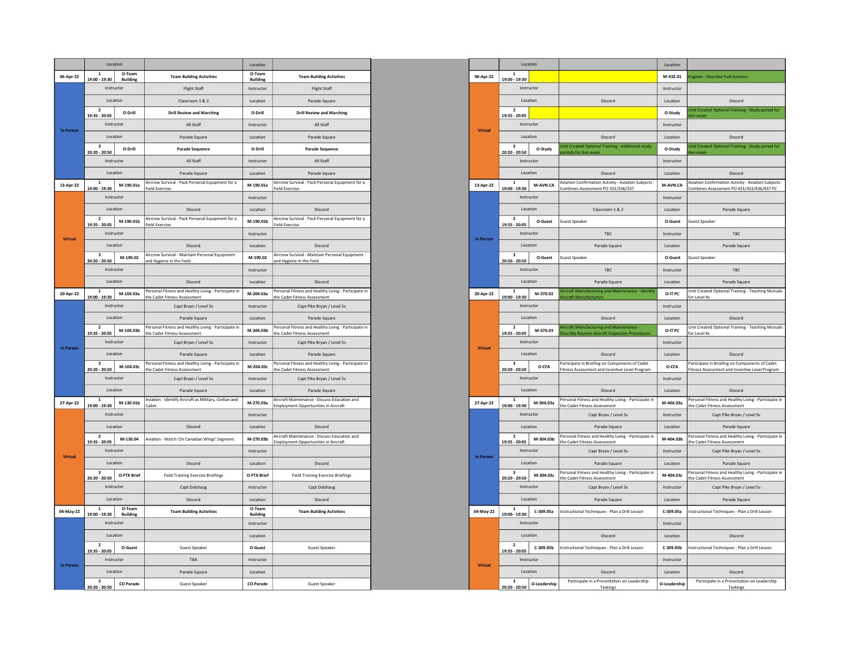|                  | Location                                              |                           |                                                                                      | Location                  |                                                                                             |
|------------------|-------------------------------------------------------|---------------------------|--------------------------------------------------------------------------------------|---------------------------|---------------------------------------------------------------------------------------------|
| 06-Apr-22        | $\mathbf{1}$<br>19:00 - 19:30                         | O-Team<br><b>Building</b> | <b>Team Building Activities</b>                                                      | O-Team<br><b>Building</b> | <b>Team Building Activities</b>                                                             |
|                  | Instructor                                            |                           | <b>Flight Staff</b>                                                                  | Instructor                | <b>Flight Staff</b>                                                                         |
|                  | Location                                              |                           | Classroom 1 & 2                                                                      |                           | Parade Square                                                                               |
|                  | $\overline{2}$<br>19:35 - 20:05                       | O-Drill                   | <b>Drill Review and Marching</b>                                                     | O-Drill                   | <b>Drill Review and Marching</b>                                                            |
|                  | Instructor                                            |                           | All Staff                                                                            | Instructor                | All Staff                                                                                   |
| <b>In Person</b> | Location                                              |                           | Parade Square                                                                        | Location                  | Parade Square                                                                               |
|                  | 3                                                     | O-Drill                   | <b>Parade Sequence</b>                                                               | O-Drill                   | <b>Parade Sequence</b>                                                                      |
|                  | 20:20 - 20:50<br>Instructor                           |                           | All Staff                                                                            | Instructor                | All Staff                                                                                   |
|                  | Location                                              |                           | Parade Square                                                                        | Location                  | Parade Square                                                                               |
| 13-Apr-22        | 1                                                     | M-190.01a                 | Aircrew Survival - Pack Personal Equipment for a                                     | M-190.01a                 | Aircrew Survival - Pack Personal Equipment for a                                            |
|                  | 19:00 - 19:30<br>Instructor                           |                           | Field Exercise.                                                                      | Instructor                | Field Exercise.                                                                             |
|                  | Location                                              |                           | Discord                                                                              |                           |                                                                                             |
|                  | $\overline{2}$                                        |                           | Aircrew Survival - Pack Personal Equipment for a                                     | Location                  | Discord<br>Aircrew Survival - Pack Personal Equipment for a                                 |
|                  | 19:35 - 20:05                                         | M-190.01b                 | <b>Field Exercise</b>                                                                | M-190.01b                 | <b>Field Exercise</b>                                                                       |
| Virtual          | Instructor                                            |                           |                                                                                      | Instructor                |                                                                                             |
|                  | Location<br>3                                         |                           | Discord<br>Aircrew Survival - Maintain Personal Equipment                            | Location                  | Discord<br>Aircrew Survival - Maintain Personal Equipment                                   |
|                  | 20:20 - 20:50                                         | M-190.02                  | and Hygiene in the Field.                                                            | M-190.02                  | and Hygiene in the Field.                                                                   |
|                  | Instructor                                            |                           |                                                                                      | Instructor                |                                                                                             |
|                  | Location                                              |                           | Discord                                                                              | Location                  | Discord                                                                                     |
| 20-Apr-22        | $\mathbf{1}$<br>19:00 - 19:30                         | M-104.03a                 | Personal Fitness and Healthy Living - Participate in<br>the Cadet Fitness Assessment | M-204.03a                 | Personal Fitness and Healthy Living - Participate in<br>the Cadet Fitness Assessment        |
|                  | Instructor                                            |                           | Capt Bryan / Level 5s                                                                | Instructor                | Capt Pike Bryan / Level 5s                                                                  |
|                  | Location                                              |                           | Parade Square                                                                        | Location                  | Parade Square                                                                               |
|                  | $\overline{\mathbf{2}}$<br>M-104.03b<br>19:35 - 20:05 |                           | Personal Fitness and Healthy Living - Participate in<br>the Cadet Fitness Assessment | M-204.03b                 | Personal Fitness and Healthy Living - Participate in<br>the Cadet Fitness Assessment        |
|                  | Instructor                                            |                           | Capt Bryan / Level 5s                                                                | Instructor                | Capt Pike Bryan / Level 5s                                                                  |
| <b>In Person</b> | Location                                              |                           | Parade Square                                                                        | Location                  | Parade Square                                                                               |
|                  | $\overline{\mathbf{3}}$<br>20:20 - 20:50              | M-104.03c                 | Personal Fitness and Healthy Living - Participate in<br>the Cadet Fitness Assessment | M-204.03c                 | Personal Fitness and Healthy Living - Participate in<br>the Cadet Fitness Assessment        |
|                  | Instructor                                            |                           | Capt Bryan / Level 5s                                                                | Instructor                | Capt Pike Bryan / Level 5s                                                                  |
|                  |                                                       | Location                  | Parade Square                                                                        | Location                  | Parade Square                                                                               |
| 27-Apr-22        | $\mathbf{1}$<br>19:00 - 19:30                         | M-130.01b                 | Aviation - Identify Aircraft as Military, Civilian and<br>Cadet.                     | M-270.03a                 | Aircraft Maintenance - Discuss Education and<br><b>Employment Opportunities in Aircraft</b> |
|                  | Instructor                                            |                           |                                                                                      | Instructor                |                                                                                             |
|                  | Location                                              |                           | Discord                                                                              | Location                  | Discord                                                                                     |
|                  | 2<br>19:35 - 20:05                                    | M-130.04                  | Aviation - Watch 'On Canadian Wings' Segment.                                        | M-270.03b                 | Aircraft Maintenance - Discuss Education and                                                |
|                  | Instructor                                            |                           |                                                                                      | Instructor                | <b>Employment Opportunities in Aircraft</b>                                                 |
| <b>Virtual</b>   | Location                                              |                           | Discord                                                                              | Location                  | Discord                                                                                     |
|                  | 3                                                     | O-FTX Brief               | <b>Field Training Exercise Briefings</b>                                             | O-FTX Brief               | <b>Field Training Exercise Briefings</b>                                                    |
|                  | 20:20 - 20:50<br>Instructor                           |                           | Capt Dalshaug                                                                        | Instructor                | Capt Dalshaug                                                                               |
|                  | Location                                              |                           | Discord                                                                              | Location                  | Discord                                                                                     |
| 04-May-22        | $\mathbf{1}$                                          | O-Team                    | <b>Team Building Activities</b>                                                      | O-Team                    | <b>Team Building Activities</b>                                                             |
|                  | 19:00 - 19:30<br>Instructor                           | <b>Building</b>           |                                                                                      | <b>Building</b>           |                                                                                             |
|                  |                                                       |                           |                                                                                      | Instructor                |                                                                                             |
|                  | Location<br>$\overline{2}$                            |                           |                                                                                      | Location                  |                                                                                             |
|                  | 19:35 - 20:05                                         | O-Guest                   | <b>Guest Speaker</b>                                                                 | O-Guest                   | <b>Guest Speaker</b>                                                                        |
| <b>In Person</b> | Instructor                                            |                           | TBA                                                                                  | Instructor                |                                                                                             |
|                  |                                                       | Location                  | Parade Square                                                                        | Location                  |                                                                                             |
|                  | $\overline{\mathbf{3}}$<br>20:20 - 20:50              | <b>CO</b> Parade          | <b>Guest Speaker</b>                                                                 | <b>CO Parade</b>          | <b>Guest Speaker</b>                                                                        |

|                                                        | Location<br>O-Team        |                                                                                     |
|--------------------------------------------------------|---------------------------|-------------------------------------------------------------------------------------|
| eam Building Activities                                | <b>Building</b>           | <b>Team Building Activities</b>                                                     |
| <b>Flight Staff</b>                                    | Instructor                | <b>Flight Staff</b>                                                                 |
| Classroom 1 & 2                                        | Location                  | Parade Square                                                                       |
| <b>Il Review and Marching</b>                          | O-Drill                   | <b>Drill Review and Marching</b>                                                    |
| All Staff                                              | Instructor                | All Staff                                                                           |
| Parade Square                                          | Location                  | Parade Square                                                                       |
| Parade Sequence                                        | O-Drill                   | <b>Parade Sequence</b>                                                              |
| All Staff                                              | Instructor                | All Staff                                                                           |
| Parade Square                                          | Location                  | Parade Square                                                                       |
| Il - Pack Personal Equipment for a                     | M-190.01a                 | Aircrew Survival - Pack Personal Equipment for a                                    |
|                                                        | Instructor                | ield Exercise                                                                       |
| Discord                                                | Location                  | Discord                                                                             |
| Il - Pack Personal Equipment for a                     | M-190.01b                 | Aircrew Survival - Pack Personal Equipment for a                                    |
|                                                        |                           | ield Exercise                                                                       |
|                                                        | Instructor                |                                                                                     |
| Discord<br>Il - Maintain Personal Equipment            | Location                  | Discord<br>Aircrew Survival - Maintain Personal Equipment                           |
| the Field.                                             | M-190.02                  | and Hygiene in the Field.                                                           |
|                                                        | Instructor                |                                                                                     |
| Discord                                                | Location                  | Discord                                                                             |
| s and Healthy Living - Participate in<br>ss Assessment | M-204.03a                 | Personal Fitness and Healthy Living - Participate in<br>he Cadet Fitness Assessment |
| Capt Bryan / Level 5s                                  | Instructor                | Capt Pike Bryan / Level 5s                                                          |
| Parade Square                                          | Location                  | Parade Square                                                                       |
| s and Healthy Living - Participate in<br>ss Assessment | M-204.03b                 | Personal Fitness and Healthy Living - Participate in<br>he Cadet Fitness Assessment |
| Capt Bryan / Level 5s                                  | Instructor                | Capt Pike Bryan / Level 5s                                                          |
| Parade Square                                          | Location                  | Parade Square                                                                       |
| s and Healthy Living - Participate in<br>ss Assessment | M-204.03c                 | ersonal Fitness and Healthy Living - Participate in<br>he Cadet Fitness Assessment  |
| Capt Bryan / Level 5s                                  | Instructor                | Capt Pike Bryan / Level 5s                                                          |
| Parade Square                                          | Location                  | Parade Square                                                                       |
| ify Aircraft as Military, Civilian and                 | M-270.03a                 | Aircraft Maintenance - Discuss Education and                                        |
|                                                        | Instructor                | <b>Imployment Opportunities in Aircraft</b>                                         |
| Discord                                                | Location                  | Discord                                                                             |
|                                                        |                           | Aircraft Maintenance - Discuss Education and                                        |
| h 'On Canadian Wings' Segment.                         | M-270.03b                 | mployment Opportunities in Aircraft                                                 |
|                                                        | Instructor                |                                                                                     |
| Discord                                                | Location                  | Discord                                                                             |
| <b>Training Exercise Briefings</b>                     | O-FTX Brief               | <b>Field Training Exercise Briefings</b>                                            |
| Capt Dalshaug                                          | Instructor                | Capt Dalshaug                                                                       |
| Discord                                                | Location                  | Discord                                                                             |
| eam Building Activities                                | O-Team<br><b>Building</b> | <b>Team Building Activities</b>                                                     |
|                                                        | Instructor                |                                                                                     |
|                                                        | Location                  |                                                                                     |
| <b>Guest Speaker</b>                                   | O-Guest                   | <b>Guest Speaker</b>                                                                |
| <b>TRA</b>                                             | Instructor                |                                                                                     |
| Parade Square                                          | Location                  |                                                                                     |
| <b>Guest Speaker</b>                                   | <b>CO Parade</b>          | <b>Guest Speaker</b>                                                                |
|                                                        |                           |                                                                                     |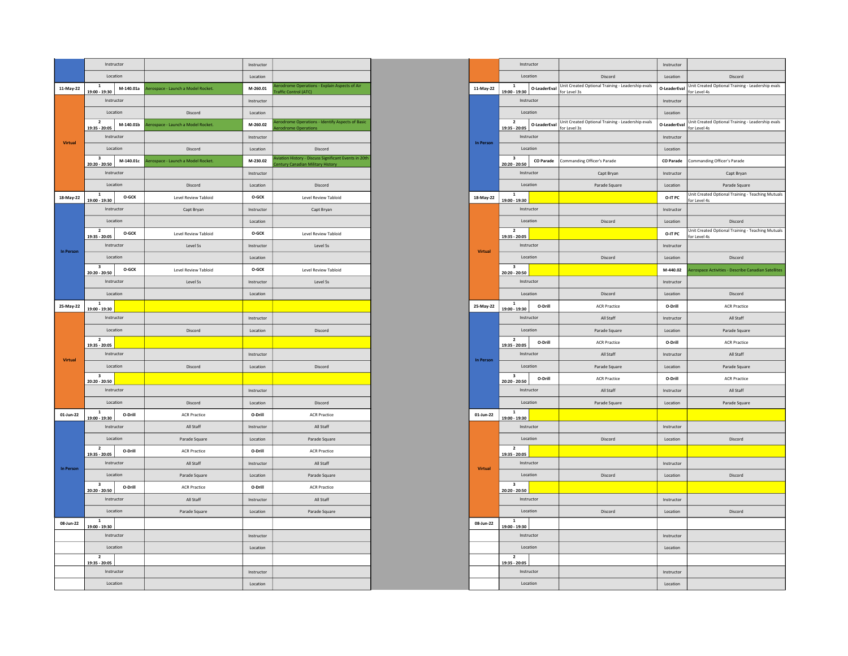|                | Instructor                                            |                                    | Instructor |                                                                                           |
|----------------|-------------------------------------------------------|------------------------------------|------------|-------------------------------------------------------------------------------------------|
|                | Location                                              |                                    | Location   |                                                                                           |
| 11-May-22      | $\mathbf 1$<br>M-140.01a<br>19:00 - 19:30             | Aerospace - Launch a Model Rocket. | M-260.01   | Aerodrome Operations - Explain Aspects of Air<br>Fraffic Control (ATC)                    |
|                | Instructor                                            |                                    | Instructor |                                                                                           |
|                | Location                                              | Discord                            | Location   |                                                                                           |
|                | $\mathbf{2}$<br>$M-140.01b$<br>19:35 - 20:05          | Aerospace - Launch a Model Rocket. | M-260.02   | <b>Aerodrome Operations - Identify Aspects of Basic</b><br><b>Aerodrome Operations</b>    |
|                | Instructor                                            |                                    | Instructor |                                                                                           |
| <b>Virtual</b> | Location                                              | Discord                            | Location   | Discord                                                                                   |
|                | $\overline{\mathbf{3}}$<br>M-140.01c<br>20:20 - 20:50 | Aerospace - Launch a Model Rocket. | M-230.02   | Aviation History - Discuss Significant Events in 20th<br>entury Canadian Military History |
|                | Instructor                                            |                                    | Instructor |                                                                                           |
|                | Location                                              | Discord                            | Location   | Discord                                                                                   |
| 18-May-22      | $\mathbf{1}$<br>O-GCK<br>19:00 - 19:30                | Level Review Tabloid               | O-GCK      | Level Review Tabloid                                                                      |
|                | Instructor                                            | Capt Bryan                         | Instructor | Capt Bryan                                                                                |
|                | Location                                              |                                    | Location   |                                                                                           |
|                | $\overline{\mathbf{2}}$<br>O-GCK<br>19:35 - 20:05     | <b>Level Review Tabloid</b>        | O-GCK      | <b>Level Review Tabloid</b>                                                               |
| In Person      | Instructor                                            | Level 5s                           | Instructor | Level 5s                                                                                  |
|                | Location                                              |                                    | Location   |                                                                                           |
|                | $\overline{\mathbf{3}}$<br>O-GCK<br>20:20 - 20:50     | Level Review Tabloid               | O-GCK      | Level Review Tabloid                                                                      |
|                | Instructor                                            | Level 5s                           | Instructor | Level 5s                                                                                  |
|                | Location                                              |                                    | Location   |                                                                                           |
| 25-May-22      | $\mathbf 1$<br>19:00 - 19:30                          |                                    |            |                                                                                           |
|                | Instructor                                            |                                    | Instructor |                                                                                           |
|                | Location                                              | Discord                            | Location   | Discord                                                                                   |
|                | $\overline{\mathbf{2}}$<br>19:35 - 20:05              |                                    |            |                                                                                           |
| <b>Virtual</b> | Instructor                                            |                                    | Instructor |                                                                                           |
|                | Location                                              | Discord                            | Location   | Discord                                                                                   |
|                | $\overline{\mathbf{3}}$<br>20:20 - 20:50              |                                    |            |                                                                                           |
|                | Instructor                                            |                                    | Instructor |                                                                                           |
|                | Location                                              | Discord                            | Location   | Discord                                                                                   |
| 01-Jun-22      | $\mathbf 1$<br>O-Drill<br>19:00 - 19:30               | <b>ACR Practice</b>                | O-Drill    | <b>ACR Practice</b>                                                                       |
|                | Instructor                                            | All Staff                          | Instructor | All Staff                                                                                 |
|                | Location                                              | Parade Square                      | Location   | Parade Square                                                                             |
|                | $\overline{2}$<br>O-Drill<br>19:35 - 20:05            | <b>ACR Practice</b>                | O-Drill    | <b>ACR Practice</b>                                                                       |
| In Person      | Instructor                                            | All Staff                          | Instructor | All Staff                                                                                 |
|                | Location                                              | Parade Square                      | Location   | Parade Square                                                                             |
|                | $\overline{\mathbf{3}}$<br>O-Drill<br>20:20 - 20:50   | <b>ACR Practice</b>                | O-Drill    | <b>ACR Practice</b>                                                                       |
|                | Instructor                                            | All Staff                          | Instructor | All Staff                                                                                 |
|                | Location                                              | Parade Square                      | Location   | Parade Square                                                                             |
| 08-Jun-22      | $\mathbf{1}$<br>19:00 - 19:30                         |                                    |            |                                                                                           |
|                | Instructor                                            |                                    | Instructor |                                                                                           |
|                | Location                                              |                                    | Location   |                                                                                           |
|                | $\mathbf{2}$<br>19:35 - 20:05                         |                                    |            |                                                                                           |
|                | Instructor                                            |                                    | Instructor |                                                                                           |
|                | Location                                              |                                    | Location   |                                                                                           |

|                     | Instructor      |                                                                                                 |                | Instructor                               |                  |                                                                   | Instructor       |                                                                   |
|---------------------|-----------------|-------------------------------------------------------------------------------------------------|----------------|------------------------------------------|------------------|-------------------------------------------------------------------|------------------|-------------------------------------------------------------------|
|                     | Location        |                                                                                                 |                | Location                                 |                  | Discord                                                           | Location         | Discord                                                           |
| h a Model Rocket.   | M-260.01        | erodrome Operations - Explain Aspects of Air<br>raffic Control (ATC)                            | 11-May-22      | $\mathbf 1$<br>19:00 - 19:30             | O-LeaderEval     | Unit Created Optional Training - Leadership evals<br>for Level 3s | O-LeaderEval     | Unit Created Optional Training - Leadership evals<br>for Level 4s |
|                     | Instructor      |                                                                                                 |                | Instructor                               |                  |                                                                   | Instructor       |                                                                   |
| Discord             | Location        |                                                                                                 |                | Location                                 |                  |                                                                   | Location         |                                                                   |
| h a Model Rocket.   | M-260.02        | erodrome Operations - Identify Aspects of Basic<br>rodrome Operations                           |                | $\overline{2}$<br>19:35 - 20:05          | O-LeaderEval     | Unit Created Optional Training - Leadership evals<br>for Level 3s | O-LeaderEval     | Unit Created Optional Training - Leadership evals<br>for Level 4s |
|                     | Instructor      |                                                                                                 | In Person      | Instructor                               |                  |                                                                   | Instructor       |                                                                   |
| Discord             | <b>Location</b> | Discord                                                                                         |                | Location                                 |                  |                                                                   | Location         |                                                                   |
| h a Model Rocket.   | M-230.02        | viation History - Discuss Significant Events in 20th<br><b>Intury Canadian Military History</b> |                | $\overline{\mathbf{3}}$<br>20:20 - 20:50 | <b>CO</b> Parade | Commanding Officer's Parade                                       | <b>CO</b> Parade | Commanding Officer's Parade                                       |
|                     | Instructor      |                                                                                                 |                | Instructor                               |                  | Capt Brvan                                                        | Instructor       | Capt Bryan                                                        |
| Discord             | Location        | Discord                                                                                         |                | Location                                 |                  | Parade Square                                                     | Location         | Parade Square                                                     |
| el Review Tabloid   | O-GCK           | Level Review Tabloid                                                                            | 18-May-22      | $\mathbf{1}$<br>19:00 - 19:30            |                  |                                                                   | O-IT PC          | Unit Created Optional Training - Teaching Mutuals<br>for Level 4s |
| Capt Bryan          | Instructor      | Capt Bryan                                                                                      |                | Instructor                               |                  |                                                                   | Instructor       |                                                                   |
|                     | Location        |                                                                                                 |                | Location                                 |                  | Discord                                                           | Location         | Discord                                                           |
| el Review Tabloid   | O-GCK           | Level Review Tabloid                                                                            |                | $\overline{2}$<br>19:35 - 20:05          |                  |                                                                   | O-IT PC          | Unit Created Optional Training - Teaching Mutuals<br>or Level 4s  |
| Level 5s            | Instructor      | Level 5s                                                                                        |                | Instructor                               |                  |                                                                   | Instructor       |                                                                   |
|                     | Location        |                                                                                                 | Virtual        | Location                                 |                  | Discord                                                           | Location         | Discord                                                           |
| el Review Tabloid   | O-GCK           | <b>Level Review Tabloid</b>                                                                     |                | $\overline{3}$<br>20:20 - 20:50          |                  |                                                                   | M-440.02         | <b>Lerospace Activities - Describe Canadian Satellites</b>        |
| Level 5s            | Instructor      | Level 5s                                                                                        |                | Instructor                               |                  |                                                                   | Instructor       |                                                                   |
|                     | Location        |                                                                                                 |                | Location                                 |                  | Discord                                                           | Location         | Discord                                                           |
|                     |                 |                                                                                                 | 25-May-22      | $\mathbf 1$<br>19:00 - 19:30             | O-Drill          | <b>ACR Practice</b>                                               | O-Drill          | <b>ACR Practice</b>                                               |
|                     | Instructor      |                                                                                                 |                | Instructor                               |                  | All Staff                                                         | Instructor       | All Staff                                                         |
| Discord             | Location        | Discord                                                                                         |                | Location                                 |                  | Parade Square                                                     | Location         | Parade Square                                                     |
|                     |                 |                                                                                                 |                | $\overline{2}$                           | O-Drill          | <b>ACR Practice</b>                                               | O-Drill          | <b>ACR Practice</b>                                               |
|                     | Instructor      |                                                                                                 |                | 19:35 - 20:05<br>Instructor              |                  | All Staff                                                         | Instructor       | All Staff                                                         |
| Discord             | Location        | Discord                                                                                         | In Person      | Location                                 |                  | Parade Square                                                     | Location         | Parade Square                                                     |
|                     |                 |                                                                                                 |                | $\overline{\mathbf{3}}$                  | O-Drill          | <b>ACR Practice</b>                                               | O-Drill          | <b>ACR Practice</b>                                               |
|                     | Instructor      |                                                                                                 |                | 20:20 - 20:50<br>Instructor              |                  | All Staff                                                         | Instructor       | All Staff                                                         |
| Discord             | Location        | Discord                                                                                         |                | Location                                 |                  | Parade Square                                                     | Location         | Parade Square                                                     |
| <b>ACR Practice</b> | O-Drill         | <b>ACR Practice</b>                                                                             | 01-Jun-22      | $\,$ 1                                   |                  |                                                                   |                  |                                                                   |
| All Staff           | Instructor      | All Staff                                                                                       |                | 19:00 - 19:30<br>Instructor              |                  |                                                                   | Instructor       |                                                                   |
| Parade Square       | Location        | Parade Square                                                                                   |                | Location                                 |                  | Discord                                                           | Location         | Discord                                                           |
| <b>ACR Practice</b> | O-Drill         | <b>ACR Practice</b>                                                                             |                | $\overline{2}$                           |                  |                                                                   |                  |                                                                   |
| All Staff           | Instructor      | All Staff                                                                                       |                | 19:35 - 20:05<br>Instructor              |                  |                                                                   | Instructor       |                                                                   |
| Parade Square       | Location        | Parade Square                                                                                   | <b>Virtual</b> | Location                                 |                  | Discord                                                           | Location         | Discord                                                           |
| <b>ACR Practice</b> | O-Drill         | <b>ACR Practice</b>                                                                             |                | $\overline{\mathbf{3}}$                  |                  |                                                                   |                  |                                                                   |
| All Staff           | Instructor      | All Staff                                                                                       |                | 20:20 - 20:50<br>Instructor              |                  |                                                                   | Instructor       |                                                                   |
| Parade Square       | Location        | Parade Square                                                                                   |                | Location                                 |                  | Discord                                                           | Location         | Discord                                                           |
|                     |                 |                                                                                                 | 08-Jun-22      | $\overline{1}$                           |                  |                                                                   |                  |                                                                   |
|                     | Instructor      |                                                                                                 |                | 19:00 - 19:30<br>Instructor              |                  |                                                                   | Instructor       |                                                                   |
|                     | Location        |                                                                                                 |                | Location                                 |                  |                                                                   | Location         |                                                                   |
|                     |                 |                                                                                                 |                | $\overline{2}$                           |                  |                                                                   |                  |                                                                   |
|                     | Instructor      |                                                                                                 |                | 19:35 - 20:05<br>Instructor              |                  |                                                                   | Instructor       |                                                                   |
|                     |                 |                                                                                                 |                | Location                                 |                  |                                                                   |                  |                                                                   |
|                     | Location        |                                                                                                 |                |                                          |                  |                                                                   | Location         |                                                                   |